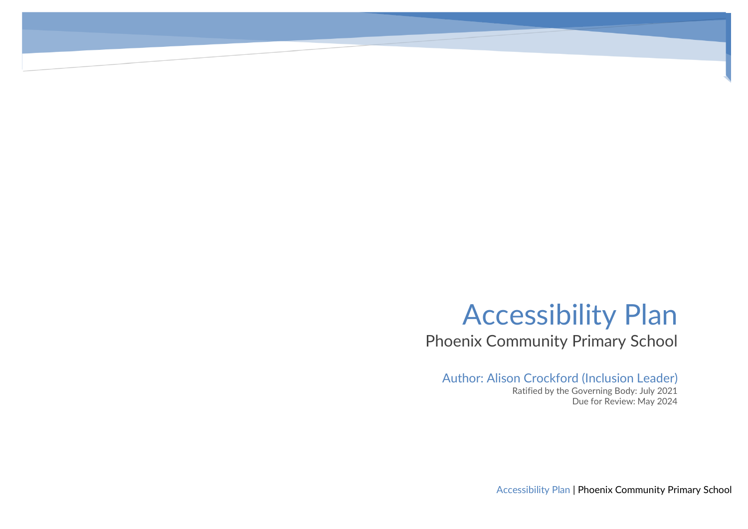# Accessibility Plan

Phoenix Community Primary School

## Author: Alison Crockford (Inclusion Leader)

Ratified by the Governing Body: July 2021 Due for Review: May 2024

Accessibility Plan | Phoenix Community Primary School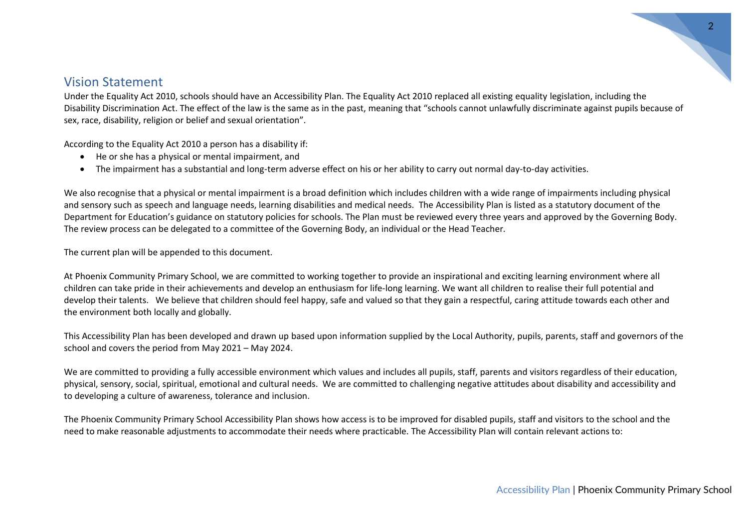### Vision Statement

Under the Equality Act 2010, schools should have an Accessibility Plan. The Equality Act 2010 replaced all existing equality legislation, including the Disability Discrimination Act. The effect of the law is the same as in the past, meaning that "schools cannot unlawfully discriminate against pupils because of sex, race, disability, religion or belief and sexual orientation".

According to the Equality Act 2010 a person has a disability if:

- He or she has a physical or mental impairment, and
- The impairment has a substantial and long-term adverse effect on his or her ability to carry out normal day-to-day activities.

We also recognise that a physical or mental impairment is a broad definition which includes children with a wide range of impairments including physical and sensory such as speech and language needs, learning disabilities and medical needs. The Accessibility Plan is listed as a statutory document of the Department for Education's guidance on statutory policies for schools. The Plan must be reviewed every three years and approved by the Governing Body. The review process can be delegated to a committee of the Governing Body, an individual or the Head Teacher.

The current plan will be appended to this document.

At Phoenix Community Primary School, we are committed to working together to provide an inspirational and exciting learning environment where all children can take pride in their achievements and develop an enthusiasm for life-long learning. We want all children to realise their full potential and develop their talents. We believe that children should feel happy, safe and valued so that they gain a respectful, caring attitude towards each other and the environment both locally and globally.

This Accessibility Plan has been developed and drawn up based upon information supplied by the Local Authority, pupils, parents, staff and governors of the school and covers the period from May 2021 – May 2024.

We are committed to providing a fully accessible environment which values and includes all pupils, staff, parents and visitors regardless of their education, physical, sensory, social, spiritual, emotional and cultural needs. We are committed to challenging negative attitudes about disability and accessibility and to developing a culture of awareness, tolerance and inclusion.

The Phoenix Community Primary School Accessibility Plan shows how access is to be improved for disabled pupils, staff and visitors to the school and the need to make reasonable adjustments to accommodate their needs where practicable. The Accessibility Plan will contain relevant actions to: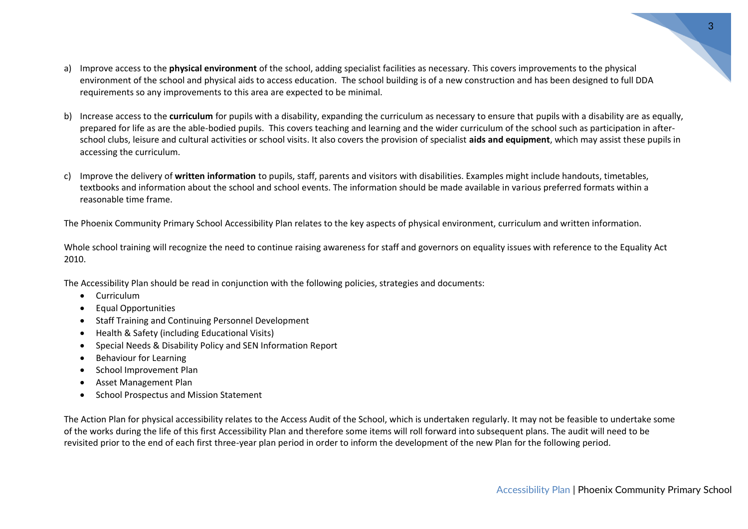- a) Improve access to the **physical environment** of the school, adding specialist facilities as necessary. This covers improvements to the physical environment of the school and physical aids to access education. The school building is of a new construction and has been designed to full DDA requirements so any improvements to this area are expected to be minimal.
- b) Increase access to the **curriculum** for pupils with a disability, expanding the curriculum as necessary to ensure that pupils with a disability are as equally, prepared for life as are the able-bodied pupils. This covers teaching and learning and the wider curriculum of the school such as participation in afterschool clubs, leisure and cultural activities or school visits. It also covers the provision of specialist **aids and equipment**, which may assist these pupils in accessing the curriculum.
- c) Improve the delivery of **written information** to pupils, staff, parents and visitors with disabilities. Examples might include handouts, timetables, textbooks and information about the school and school events. The information should be made available in various preferred formats within a reasonable time frame.

The Phoenix Community Primary School Accessibility Plan relates to the key aspects of physical environment, curriculum and written information.

Whole school training will recognize the need to continue raising awareness for staff and governors on equality issues with reference to the Equality Act 2010.

The Accessibility Plan should be read in conjunction with the following policies, strategies and documents:

- Curriculum
- Equal Opportunities
- Staff Training and Continuing Personnel Development
- Health & Safety (including Educational Visits)
- Special Needs & Disability Policy and SEN Information Report
- Behaviour for Learning
- School Improvement Plan
- Asset Management Plan
- School Prospectus and Mission Statement

The Action Plan for physical accessibility relates to the Access Audit of the School, which is undertaken regularly. It may not be feasible to undertake some of the works during the life of this first Accessibility Plan and therefore some items will roll forward into subsequent plans. The audit will need to be revisited prior to the end of each first three-year plan period in order to inform the development of the new Plan for the following period.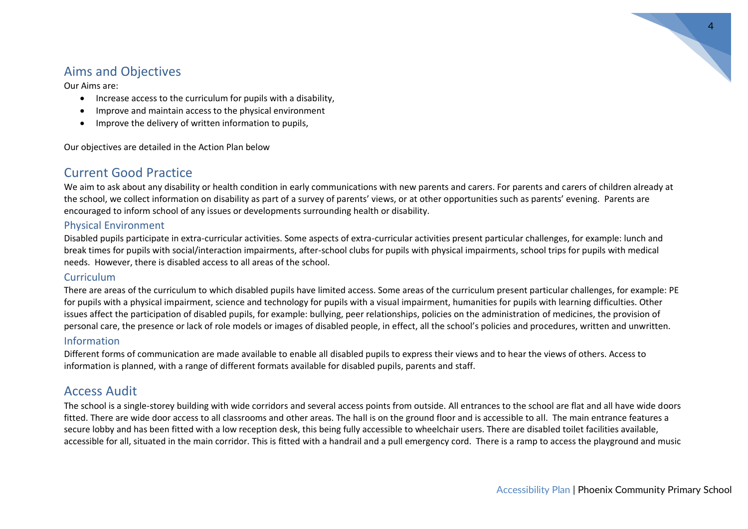

# Aims and Objectives

Our Aims are:

- Increase access to the curriculum for pupils with a disability,
- Improve and maintain access to the physical environment
- Improve the delivery of written information to pupils,

Our objectives are detailed in the Action Plan below

# Current Good Practice

We aim to ask about any disability or health condition in early communications with new parents and carers. For parents and carers of children already at the school, we collect information on disability as part of a survey of parents' views, or at other opportunities such as parents' evening. Parents are encouraged to inform school of any issues or developments surrounding health or disability.

#### Physical Environment

Disabled pupils participate in extra-curricular activities. Some aspects of extra-curricular activities present particular challenges, for example: lunch and break times for pupils with social/interaction impairments, after-school clubs for pupils with physical impairments, school trips for pupils with medical needs. However, there is disabled access to all areas of the school.

#### Curriculum

There are areas of the curriculum to which disabled pupils have limited access. Some areas of the curriculum present particular challenges, for example: PE for pupils with a physical impairment, science and technology for pupils with a visual impairment, humanities for pupils with learning difficulties. Other issues affect the participation of disabled pupils, for example: bullying, peer relationships, policies on the administration of medicines, the provision of personal care, the presence or lack of role models or images of disabled people, in effect, all the school's policies and procedures, written and unwritten.

#### Information

Different forms of communication are made available to enable all disabled pupils to express their views and to hear the views of others. Access to information is planned, with a range of different formats available for disabled pupils, parents and staff.

## Access Audit

The school is a single-storey building with wide corridors and several access points from outside. All entrances to the school are flat and all have wide doors fitted. There are wide door access to all classrooms and other areas. The hall is on the ground floor and is accessible to all. The main entrance features a secure lobby and has been fitted with a low reception desk, this being fully accessible to wheelchair users. There are disabled toilet facilities available, accessible for all, situated in the main corridor. This is fitted with a handrail and a pull emergency cord. There is a ramp to access the playground and music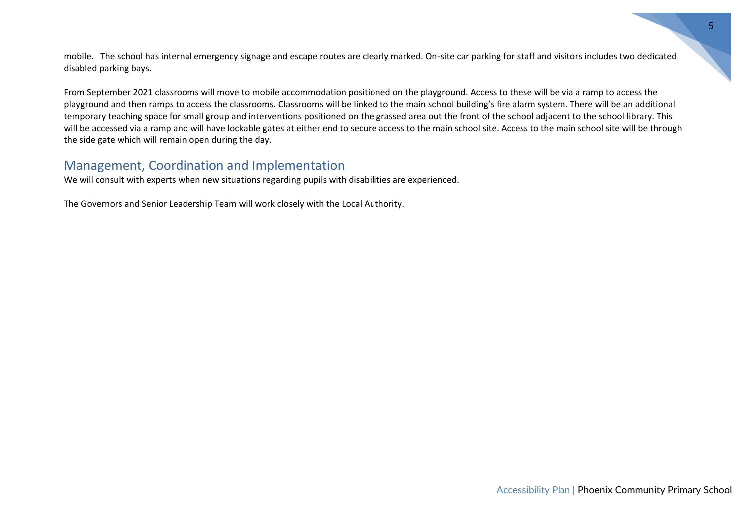mobile. The school has internal emergency signage and escape routes are clearly marked. On-site car parking for staff and visitors includes two dedicated disabled parking bays.

From September 2021 classrooms will move to mobile accommodation positioned on the playground. Access to these will be via a ramp to access the playground and then ramps to access the classrooms. Classrooms will be linked to the main school building's fire alarm system. There will be an additional temporary teaching space for small group and interventions positioned on the grassed area out the front of the school adjacent to the school library. This will be accessed via a ramp and will have lockable gates at either end to secure access to the main school site. Access to the main school site will be through the side gate which will remain open during the day.

# Management, Coordination and Implementation

We will consult with experts when new situations regarding pupils with disabilities are experienced.

The Governors and Senior Leadership Team will work closely with the Local Authority.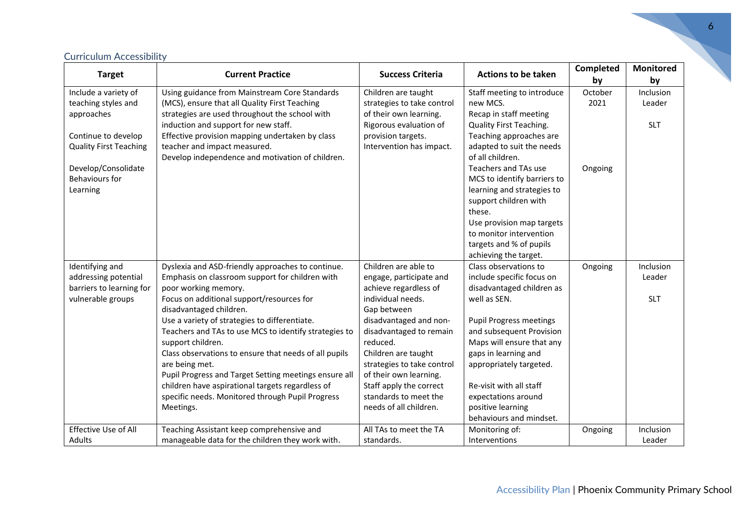| <b>Target</b>                 | <b>Current Practice</b>                                                         | <b>Success Criteria</b>                        | <b>Actions to be taken</b>                           | Completed<br>by | <b>Monitored</b><br>by |
|-------------------------------|---------------------------------------------------------------------------------|------------------------------------------------|------------------------------------------------------|-----------------|------------------------|
| Include a variety of          | Using guidance from Mainstream Core Standards                                   | Children are taught                            | Staff meeting to introduce                           | October         | Inclusion              |
| teaching styles and           | (MCS), ensure that all Quality First Teaching                                   | strategies to take control                     | new MCS.                                             | 2021            | Leader                 |
| approaches                    | strategies are used throughout the school with                                  | of their own learning.                         | Recap in staff meeting                               |                 |                        |
|                               | induction and support for new staff.                                            | Rigorous evaluation of                         | Quality First Teaching.                              |                 | <b>SLT</b>             |
| Continue to develop           | Effective provision mapping undertaken by class<br>teacher and impact measured. | provision targets.<br>Intervention has impact. | Teaching approaches are<br>adapted to suit the needs |                 |                        |
| <b>Quality First Teaching</b> | Develop independence and motivation of children.                                |                                                | of all children.                                     |                 |                        |
| Develop/Consolidate           |                                                                                 |                                                | Teachers and TAs use                                 | Ongoing         |                        |
| Behaviours for                |                                                                                 |                                                | MCS to identify barriers to                          |                 |                        |
| Learning                      |                                                                                 |                                                | learning and strategies to                           |                 |                        |
|                               |                                                                                 |                                                | support children with                                |                 |                        |
|                               |                                                                                 |                                                | these.                                               |                 |                        |
|                               |                                                                                 |                                                | Use provision map targets                            |                 |                        |
|                               |                                                                                 |                                                | to monitor intervention                              |                 |                        |
|                               |                                                                                 |                                                | targets and % of pupils                              |                 |                        |
|                               |                                                                                 |                                                | achieving the target.                                |                 |                        |
| Identifying and               | Dyslexia and ASD-friendly approaches to continue.                               | Children are able to                           | Class observations to                                | Ongoing         | Inclusion              |
| addressing potential          | Emphasis on classroom support for children with                                 | engage, participate and                        | include specific focus on                            |                 | Leader                 |
| barriers to learning for      | poor working memory.                                                            | achieve regardless of                          | disadvantaged children as                            |                 |                        |
| vulnerable groups             | Focus on additional support/resources for                                       | individual needs.                              | well as SEN.                                         |                 | <b>SLT</b>             |
|                               | disadvantaged children.<br>Use a variety of strategies to differentiate.        | Gap between<br>disadvantaged and non-          | <b>Pupil Progress meetings</b>                       |                 |                        |
|                               | Teachers and TAs to use MCS to identify strategies to                           | disadvantaged to remain                        | and subsequent Provision                             |                 |                        |
|                               | support children.                                                               | reduced.                                       | Maps will ensure that any                            |                 |                        |
|                               | Class observations to ensure that needs of all pupils                           | Children are taught                            | gaps in learning and                                 |                 |                        |
|                               | are being met.                                                                  | strategies to take control                     | appropriately targeted.                              |                 |                        |
|                               | Pupil Progress and Target Setting meetings ensure all                           | of their own learning.                         |                                                      |                 |                        |
|                               | children have aspirational targets regardless of                                | Staff apply the correct                        | Re-visit with all staff                              |                 |                        |
|                               | specific needs. Monitored through Pupil Progress                                | standards to meet the                          | expectations around                                  |                 |                        |
|                               | Meetings.                                                                       | needs of all children.                         | positive learning                                    |                 |                        |
|                               |                                                                                 |                                                | behaviours and mindset.                              |                 |                        |
| Effective Use of All          | Teaching Assistant keep comprehensive and                                       | All TAs to meet the TA                         | Monitoring of:                                       | Ongoing         | Inclusion              |
| Adults                        | manageable data for the children they work with.                                | standards.                                     | Interventions                                        |                 | Leader                 |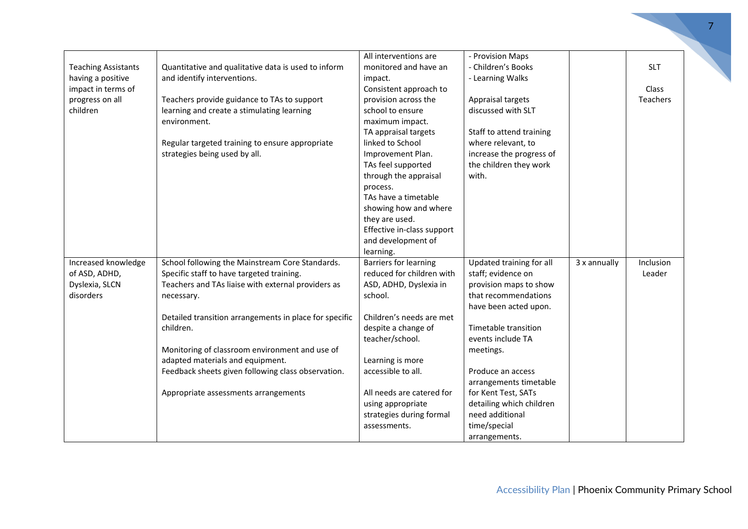|                            |                                                        | All interventions are      | - Provision Maps         |              |                 |
|----------------------------|--------------------------------------------------------|----------------------------|--------------------------|--------------|-----------------|
| <b>Teaching Assistants</b> | Quantitative and qualitative data is used to inform    | monitored and have an      | - Children's Books       |              | <b>SLT</b>      |
| having a positive          | and identify interventions.                            | impact.                    | - Learning Walks         |              |                 |
| impact in terms of         |                                                        | Consistent approach to     |                          |              | <b>Class</b>    |
| progress on all            | Teachers provide guidance to TAs to support            | provision across the       | Appraisal targets        |              | <b>Teachers</b> |
| children                   | learning and create a stimulating learning             | school to ensure           | discussed with SLT       |              |                 |
|                            | environment.                                           | maximum impact.            |                          |              |                 |
|                            |                                                        | TA appraisal targets       | Staff to attend training |              |                 |
|                            | Regular targeted training to ensure appropriate        | linked to School           | where relevant, to       |              |                 |
|                            | strategies being used by all.                          | Improvement Plan.          | increase the progress of |              |                 |
|                            |                                                        | TAs feel supported         | the children they work   |              |                 |
|                            |                                                        | through the appraisal      | with.                    |              |                 |
|                            |                                                        | process.                   |                          |              |                 |
|                            |                                                        | TAs have a timetable       |                          |              |                 |
|                            |                                                        | showing how and where      |                          |              |                 |
|                            |                                                        | they are used.             |                          |              |                 |
|                            |                                                        | Effective in-class support |                          |              |                 |
|                            |                                                        | and development of         |                          |              |                 |
|                            |                                                        | learning.                  |                          |              |                 |
| Increased knowledge        | School following the Mainstream Core Standards.        | Barriers for learning      | Updated training for all | 3 x annually | Inclusion       |
| of ASD, ADHD,              | Specific staff to have targeted training.              | reduced for children with  | staff; evidence on       |              | Leader          |
| Dyslexia, SLCN             | Teachers and TAs liaise with external providers as     | ASD, ADHD, Dyslexia in     | provision maps to show   |              |                 |
| disorders                  | necessary.                                             | school.                    | that recommendations     |              |                 |
|                            |                                                        |                            | have been acted upon.    |              |                 |
|                            | Detailed transition arrangements in place for specific | Children's needs are met   |                          |              |                 |
|                            | children.                                              | despite a change of        | Timetable transition     |              |                 |
|                            |                                                        | teacher/school.            | events include TA        |              |                 |
|                            | Monitoring of classroom environment and use of         |                            | meetings.                |              |                 |
|                            | adapted materials and equipment.                       | Learning is more           |                          |              |                 |
|                            | Feedback sheets given following class observation.     | accessible to all.         | Produce an access        |              |                 |
|                            |                                                        |                            | arrangements timetable   |              |                 |
|                            | Appropriate assessments arrangements                   | All needs are catered for  | for Kent Test, SATs      |              |                 |
|                            |                                                        | using appropriate          | detailing which children |              |                 |
|                            |                                                        | strategies during formal   | need additional          |              |                 |
|                            |                                                        | assessments.               | time/special             |              |                 |
|                            |                                                        |                            | arrangements.            |              |                 |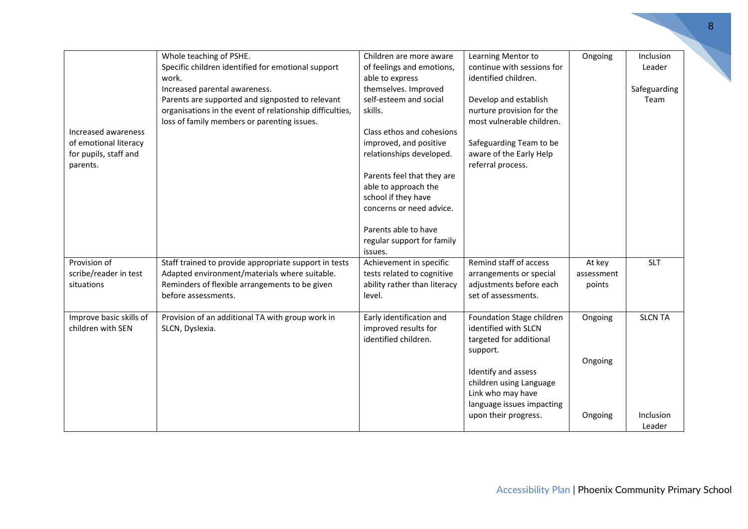| Increased awareness<br>of emotional literacy<br>for pupils, staff and<br>parents. | Whole teaching of PSHE.<br>Specific children identified for emotional support<br>work.<br>Increased parental awareness.<br>Parents are supported and signposted to relevant<br>organisations in the event of relationship difficulties,<br>loss of family members or parenting issues. | Children are more aware<br>of feelings and emotions,<br>able to express<br>themselves. Improved<br>self-esteem and social<br>skills.<br>Class ethos and cohesions<br>improved, and positive<br>relationships developed.<br>Parents feel that they are<br>able to approach the<br>school if they have<br>concerns or need advice. | Learning Mentor to<br>continue with sessions for<br>identified children.<br>Develop and establish<br>nurture provision for the<br>most vulnerable children.<br>Safeguarding Team to be<br>aware of the Early Help<br>referral process. | Ongoing                        | Inclusion<br>Leader<br>Safeguarding<br>Team |
|-----------------------------------------------------------------------------------|----------------------------------------------------------------------------------------------------------------------------------------------------------------------------------------------------------------------------------------------------------------------------------------|----------------------------------------------------------------------------------------------------------------------------------------------------------------------------------------------------------------------------------------------------------------------------------------------------------------------------------|----------------------------------------------------------------------------------------------------------------------------------------------------------------------------------------------------------------------------------------|--------------------------------|---------------------------------------------|
| Provision of<br>scribe/reader in test<br>situations                               | Staff trained to provide appropriate support in tests<br>Adapted environment/materials where suitable.<br>Reminders of flexible arrangements to be given<br>before assessments.                                                                                                        | Parents able to have<br>regular support for family<br>issues.<br>Achievement in specific<br>tests related to cognitive<br>ability rather than literacy<br>level.                                                                                                                                                                 | Remind staff of access<br>arrangements or special<br>adjustments before each<br>set of assessments.                                                                                                                                    | At key<br>assessment<br>points | <b>SLT</b>                                  |
| Improve basic skills of<br>children with SEN                                      | Provision of an additional TA with group work in<br>SLCN, Dyslexia.                                                                                                                                                                                                                    | Early identification and<br>improved results for<br>identified children.                                                                                                                                                                                                                                                         | Foundation Stage children<br>identified with SLCN<br>targeted for additional<br>support.<br>Identify and assess                                                                                                                        | Ongoing<br>Ongoing             | <b>SLCN TA</b>                              |
|                                                                                   |                                                                                                                                                                                                                                                                                        |                                                                                                                                                                                                                                                                                                                                  | children using Language<br>Link who may have<br>language issues impacting<br>upon their progress.                                                                                                                                      | Ongoing                        | Inclusion<br>Leader                         |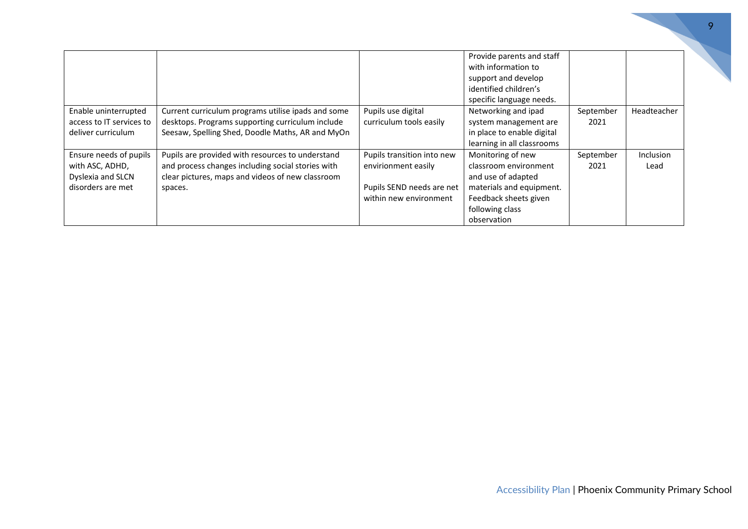|                                                                                     |                                                                                                                                                                      |                                                                                                          | Provide parents and staff<br>with information to<br>support and develop<br>identified children's<br>specific language needs.                            |                   |                          |
|-------------------------------------------------------------------------------------|----------------------------------------------------------------------------------------------------------------------------------------------------------------------|----------------------------------------------------------------------------------------------------------|---------------------------------------------------------------------------------------------------------------------------------------------------------|-------------------|--------------------------|
| Enable uninterrupted<br>access to IT services to<br>deliver curriculum              | Current curriculum programs utilise ipads and some<br>desktops. Programs supporting curriculum include<br>Seesaw, Spelling Shed, Doodle Maths, AR and MyOn           | Pupils use digital<br>curriculum tools easily                                                            | Networking and ipad<br>system management are<br>in place to enable digital<br>learning in all classrooms                                                | September<br>2021 | Headteacher              |
| Ensure needs of pupils<br>with ASC, ADHD,<br>Dyslexia and SLCN<br>disorders are met | Pupils are provided with resources to understand<br>and process changes including social stories with<br>clear pictures, maps and videos of new classroom<br>spaces. | Pupils transition into new<br>envirionment easily<br>Pupils SEND needs are net<br>within new environment | Monitoring of new<br>classroom environment<br>and use of adapted<br>materials and equipment.<br>Feedback sheets given<br>following class<br>observation | September<br>2021 | <b>Inclusion</b><br>Lead |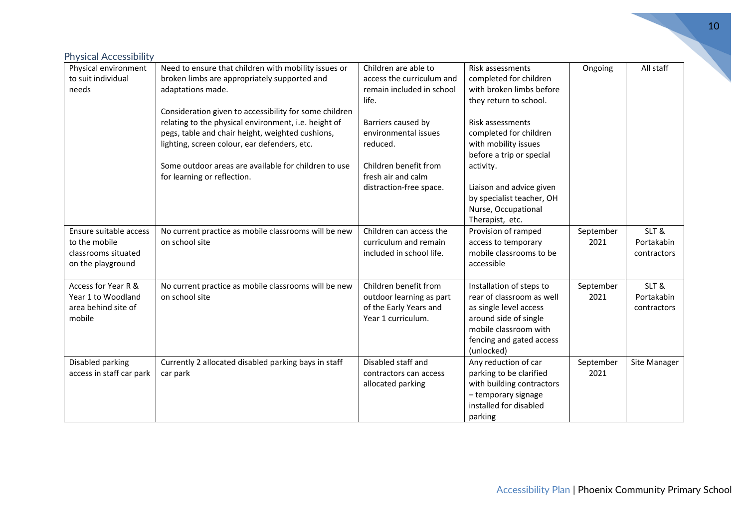| <b>Physical Accessibility</b><br>Physical environment | Need to ensure that children with mobility issues or   | Children are able to      | Risk assessments          | Ongoing   | All staff    |
|-------------------------------------------------------|--------------------------------------------------------|---------------------------|---------------------------|-----------|--------------|
| to suit individual                                    | broken limbs are appropriately supported and           | access the curriculum and | completed for children    |           |              |
| needs                                                 | adaptations made.                                      | remain included in school | with broken limbs before  |           |              |
|                                                       |                                                        | life.                     | they return to school.    |           |              |
|                                                       | Consideration given to accessibility for some children |                           |                           |           |              |
|                                                       | relating to the physical environment, i.e. height of   | Barriers caused by        | Risk assessments          |           |              |
|                                                       | pegs, table and chair height, weighted cushions,       | environmental issues      | completed for children    |           |              |
|                                                       | lighting, screen colour, ear defenders, etc.           | reduced.                  | with mobility issues      |           |              |
|                                                       |                                                        |                           | before a trip or special  |           |              |
|                                                       | Some outdoor areas are available for children to use   | Children benefit from     | activity.                 |           |              |
|                                                       | for learning or reflection.                            | fresh air and calm        |                           |           |              |
|                                                       |                                                        | distraction-free space.   | Liaison and advice given  |           |              |
|                                                       |                                                        |                           | by specialist teacher, OH |           |              |
|                                                       |                                                        |                           | Nurse, Occupational       |           |              |
|                                                       |                                                        |                           | Therapist, etc.           |           |              |
| Ensure suitable access                                | No current practice as mobile classrooms will be new   | Children can access the   | Provision of ramped       | September | SLT&         |
| to the mobile                                         | on school site                                         | curriculum and remain     | access to temporary       | 2021      | Portakabin   |
| classrooms situated                                   |                                                        | included in school life.  | mobile classrooms to be   |           | contractors  |
| on the playground                                     |                                                        |                           | accessible                |           |              |
| Access for Year R &                                   | No current practice as mobile classrooms will be new   | Children benefit from     | Installation of steps to  | September | SLT&         |
| Year 1 to Woodland                                    | on school site                                         | outdoor learning as part  | rear of classroom as well | 2021      | Portakabin   |
| area behind site of                                   |                                                        | of the Early Years and    | as single level access    |           | contractors  |
| mobile                                                |                                                        | Year 1 curriculum.        | around side of single     |           |              |
|                                                       |                                                        |                           | mobile classroom with     |           |              |
|                                                       |                                                        |                           | fencing and gated access  |           |              |
|                                                       |                                                        |                           | (unlocked)                |           |              |
| Disabled parking                                      | Currently 2 allocated disabled parking bays in staff   | Disabled staff and        | Any reduction of car      | September | Site Manager |
| access in staff car park                              | car park                                               | contractors can access    | parking to be clarified   | 2021      |              |
|                                                       |                                                        | allocated parking         | with building contractors |           |              |
|                                                       |                                                        |                           | - temporary signage       |           |              |
|                                                       |                                                        |                           | installed for disabled    |           |              |
|                                                       |                                                        |                           | parking                   |           |              |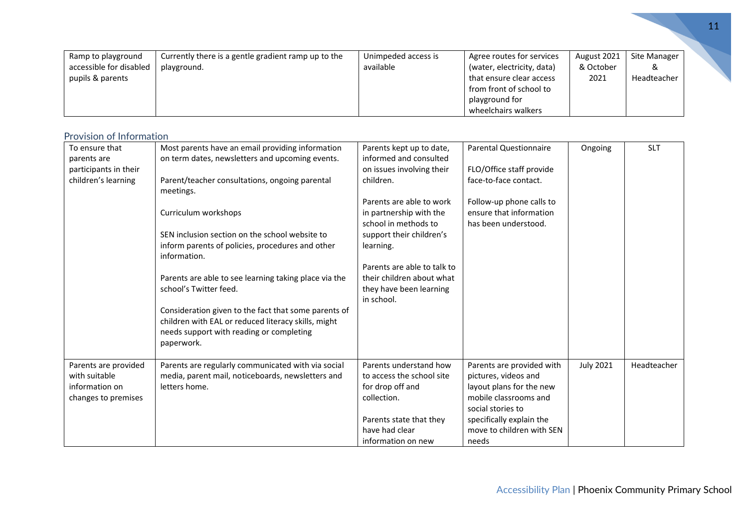|                                                                   |                                                                    |                                  |                                                                                                                                                         |                                  |                                  | 11 |
|-------------------------------------------------------------------|--------------------------------------------------------------------|----------------------------------|---------------------------------------------------------------------------------------------------------------------------------------------------------|----------------------------------|----------------------------------|----|
| Ramp to playground<br>accessible for disabled<br>pupils & parents | Currently there is a gentle gradient ramp up to the<br>playground. | Unimpeded access is<br>available | Agree routes for services<br>(water, electricity, data)<br>that ensure clear access<br>from front of school to<br>playground for<br>wheelchairs walkers | August 2021<br>& October<br>2021 | Site Manager<br>∝<br>Headteacher |    |

|  | Provision of Information |
|--|--------------------------|
|  |                          |

| To ensure that<br>parents are<br>participants in their<br>children's learning  | Most parents have an email providing information<br>on term dates, newsletters and upcoming events.<br>Parent/teacher consultations, ongoing parental<br>meetings.<br>Curriculum workshops<br>SEN inclusion section on the school website to<br>inform parents of policies, procedures and other<br>information.<br>Parents are able to see learning taking place via the<br>school's Twitter feed.<br>Consideration given to the fact that some parents of<br>children with EAL or reduced literacy skills, might | Parents kept up to date,<br>informed and consulted<br>on issues involving their<br>children.<br>Parents are able to work<br>in partnership with the<br>school in methods to<br>support their children's<br>learning.<br>Parents are able to talk to<br>their children about what<br>they have been learning<br>in school. | <b>Parental Questionnaire</b><br>FLO/Office staff provide<br>face-to-face contact.<br>Follow-up phone calls to<br>ensure that information<br>has been understood.                             | Ongoing          | <b>SLT</b>  |
|--------------------------------------------------------------------------------|--------------------------------------------------------------------------------------------------------------------------------------------------------------------------------------------------------------------------------------------------------------------------------------------------------------------------------------------------------------------------------------------------------------------------------------------------------------------------------------------------------------------|---------------------------------------------------------------------------------------------------------------------------------------------------------------------------------------------------------------------------------------------------------------------------------------------------------------------------|-----------------------------------------------------------------------------------------------------------------------------------------------------------------------------------------------|------------------|-------------|
|                                                                                | needs support with reading or completing<br>paperwork.                                                                                                                                                                                                                                                                                                                                                                                                                                                             |                                                                                                                                                                                                                                                                                                                           |                                                                                                                                                                                               |                  |             |
| Parents are provided<br>with suitable<br>information on<br>changes to premises | Parents are regularly communicated with via social<br>media, parent mail, noticeboards, newsletters and<br>letters home.                                                                                                                                                                                                                                                                                                                                                                                           | Parents understand how<br>to access the school site<br>for drop off and<br>collection.<br>Parents state that they<br>have had clear<br>information on new                                                                                                                                                                 | Parents are provided with<br>pictures, videos and<br>layout plans for the new<br>mobile classrooms and<br>social stories to<br>specifically explain the<br>move to children with SEN<br>needs | <b>July 2021</b> | Headteacher |